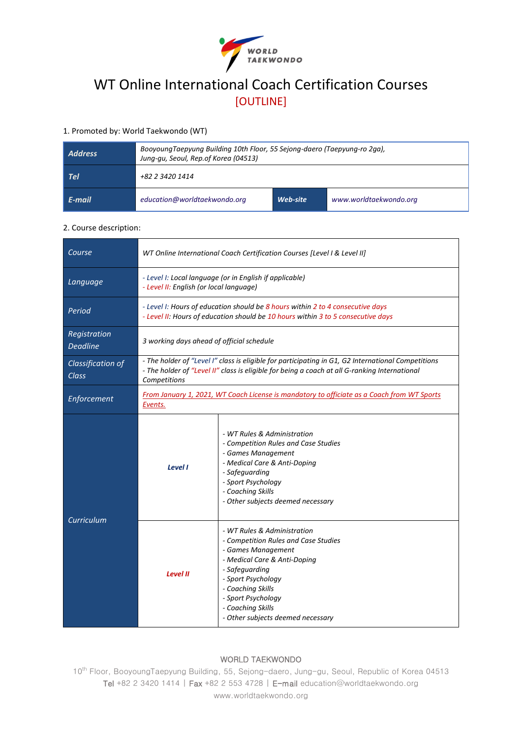

# WT Online International Coach Certification Courses [OUTLINE]

# 1. Promoted by: World Taekwondo (WT)

| Address | BooyoungTaepyung Building 10th Floor, 55 Sejong-daero (Taepyung-ro 2ga),<br>Jung-gu, Seoul, Rep.of Korea (04513) |          |                        |
|---------|------------------------------------------------------------------------------------------------------------------|----------|------------------------|
| - Tel   | +82 2 3420 1414                                                                                                  |          |                        |
| E-mail  | education@worldtaekwondo.org                                                                                     | Web-site | www.worldtaekwondo.org |

#### 2. Course description:

| Course                          | WT Online International Coach Certification Courses [Level I & Level II]                                                                                                                                            |                                                                                                                                                                                                                                                                        |  |
|---------------------------------|---------------------------------------------------------------------------------------------------------------------------------------------------------------------------------------------------------------------|------------------------------------------------------------------------------------------------------------------------------------------------------------------------------------------------------------------------------------------------------------------------|--|
| Language                        | - Level I: Local language (or in English if applicable)<br>- Level II: English (or local language)                                                                                                                  |                                                                                                                                                                                                                                                                        |  |
| Period                          | - Level I: Hours of education should be 8 hours within 2 to 4 consecutive days<br>- Level II: Hours of education should be 10 hours within 3 to 5 consecutive days                                                  |                                                                                                                                                                                                                                                                        |  |
| Registration<br><b>Deadline</b> | 3 working days ahead of official schedule                                                                                                                                                                           |                                                                                                                                                                                                                                                                        |  |
| Classification of<br>Class      | - The holder of "Level I" class is eligible for participating in G1, G2 International Competitions<br>- The holder of "Level II" class is eligible for being a coach at all G-ranking International<br>Competitions |                                                                                                                                                                                                                                                                        |  |
| Enforcement                     | From January 1, 2021, WT Coach License is mandatory to officiate as a Coach from WT Sports<br>Events.                                                                                                               |                                                                                                                                                                                                                                                                        |  |
| Curriculum                      | Level I                                                                                                                                                                                                             | - WT Rules & Administration<br>- Competition Rules and Case Studies<br>- Games Management<br>- Medical Care & Anti-Doping<br>- Safeguarding<br>- Sport Psychology<br>- Coaching Skills<br>- Other subjects deemed necessary                                            |  |
|                                 | <b>Level II</b>                                                                                                                                                                                                     | - WT Rules & Administration<br>- Competition Rules and Case Studies<br>- Games Management<br>- Medical Care & Anti-Doping<br>- Safeguarding<br>- Sport Psychology<br>- Coaching Skills<br>- Sport Psychology<br>- Coaching Skills<br>- Other subjects deemed necessary |  |

## WORLD TAEKWONDO

10<sup>th</sup> Floor, BooyoungTaepyung Building, 55, Sejong-daero, Jung-gu, Seoul, Republic of Korea 04513 Tel +82 2 3420 1414 | Fax +82 2 553 4728 | E-mail education@worldtaekwondo.org www.worldtaekwondo.org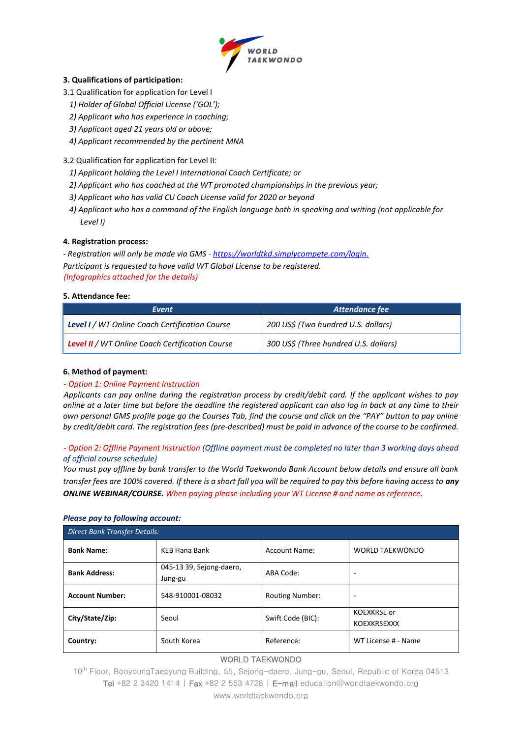

#### **3. Qualifications of participation:**

- 3.1 Qualification for application for Level I
	- *1) Holder of Global Official License ('GOL');*
	- *2) Applicant who has experience in coaching;*
	- *3) Applicant aged 21 years old or above;*
	- *4) Applicant recommended by the pertinent MNA*

# 3.2 Qualification for application for Level II:

- *1) Applicant holding the Level I International Coach Certificate; or*
- *2) Applicant who has coached at the WT promoted championships in the previous year;*
- *3) Applicant who has valid CU Coach License valid for 2020 or beyond*
- *4) Applicant who has a command of the English language both in speaking and writing (not applicable for Level I)*

# **4. Registration process:**

*- Registration will only be made via GMS - [https://worldtkd.simplycompete.com/login.](https://worldtkd.simplycompete.com/login) Participant is requested to have valid WT Global License to be registered. (Infographics attached for the details)*

# **5. Attendance fee:**

| Event                                                  | Attendance fee                        |  |
|--------------------------------------------------------|---------------------------------------|--|
| Level I / WT Online Coach Certification Course         | 200 US\$ (Two hundred U.S. dollars)   |  |
| <b>Level II</b> / WT Online Coach Certification Course | 300 US\$ (Three hundred U.S. dollars) |  |

## **6. Method of payment:**

# *- Option 1: Online Payment Instruction*

*Applicants can pay online during the registration process by credit/debit card. If the applicant wishes to pay online at a later time but before the deadline the registered applicant can also log in back at any time to their own personal GMS profile page go the Courses Tab, find the course and click on the "PAY" button to pay online by credit/debit card. The registration fees (pre-described) must be paid in advance of the course to be confirmed.* 

# *- Option 2: Offline Payment Instruction (Offline payment must be completed no later than 3 working days ahead of official course schedule)*

*You must pay offline by bank transfer to the World Taekwondo Bank Account below details and ensure all bank transfer fees are 100% covered. If there is a short fall you will be required to pay this before having access to any ONLINE WEBINAR/COURSE. When paying please including your WT License # and name as reference.*

# WORLD TAEKWONDO *Please pay to following account: Direct Bank Transfer Details:* **Bank Name:** KEB Hana Bank Account Name: WORLD TAEKWONDO **Bank Address:** 045-13 39, Sejong-daero, Jung-gu ABA Code: **Account Number:** 548-910001-08032 Routing Number: **City/State/Zip:** Seoul Seoul Swift Code (BIC): KOEXKRSE or **KOEXKRSEXXX Country:** South Korea Reference: WT License # - Name

10<sup>th</sup> Floor, BooyoungTaepyung Building, 55, Sejong-daero, Jung-gu, Seoul, Republic of Korea 04513 Tel +82 2 3420 1414 | Fax +82 2 553 4728 | E-mail education@worldtaekwondo.org www.worldtaekwondo.org